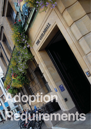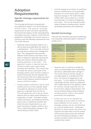# **Adoption Requirements**

## **Specifi c drainage requirements for adoption**

The drainage performance requirements are explained in detail in The SUDS Manual (CIRIA C697). The specific drainage requirements for each site will be specified by the Environment Agency via the normal planning consultation process. However, SUDS that are adopted by Cambridge City Council must as a minimum meet the following requirements from The SUDS Manual:

- Replicate natural drainage systems for a site as close as possible given the nature of a development. This is normally achieved by using source control and a management train. The management train provides different SUDS features that follow each other in sequence, gradually reducing the flows and volumes where possible and treating pollution in the water. This approach results in features that are located in public open space being protected from pollution. The Council may not adopt the source control part of the drainage system, but it must be in place to protect those parts that are adopted and will reserve the right not to adopt any down stream SUDS features should insufficient source control be in place.
- Prevent surface runoff from a site for small rainfall events up to 5mm (greater depth if possible) by allowing it to soak into the ground or evaporate back into the air. This will require the use of source control features that can allow partial infiltration or evaporation of water. Examples include swales and basins, permeable pavements, green roofs or engineered systems that meet the same requirements (e.g. rainwater harvesting, irrigation systems, etc.). This is called interception storage in The SUDS Manual (CIRIA C697).

Limit the frequency of volume of runoff from extreme rainfall events to the greenfield frequency of runoff volume (this is called long term storage in The SUDS Manual (CIRIA C697) and is based on a rainfall event that has a 1% chance of happening each year). This can be achieved using a range of features including ponds, basins, permeable pavements and soakaways.

# **Rainfall terminology**

There are two commonly used ways of expressing how frequently a particular depth or intensity of rainfall occurs

| Annual probability<br>(chance) of<br>happening or<br>being exceeded | Return period (often used by<br>drainage engineers to denote<br>the average time interval<br>between rainfall events of a<br>given size) |
|---------------------------------------------------------------------|------------------------------------------------------------------------------------------------------------------------------------------|
| $1\%$                                                               | 1 in 100 year                                                                                                                            |
| 3.33%                                                               | 1 in 30 years                                                                                                                            |
| 10%                                                                 | 1 in 10 years                                                                                                                            |
| 50%                                                                 | 1 in 2 year                                                                                                                              |

- Keep the rate of runoff from rainfall the same as would happen from a greenfield site (this is called attenuation storage in The SUDS Manual and the design is normally based on a rainfall event that has a 1% chance of happening in any one year). To limit liability for flooding, Cambridge will also require an additional 30% rainfall intensity to be applied to allow for climate change (typically also an Environment Agency requirement). This can be achieved using a range of features including ponds, basins, permeable pavements and soakaways.
- SUDS that are to be adopted by Cambridge must be robust to minimise future liabilities for the council. All drainage systems can be overwhelmed by unusual rainfall events. Developers will have to demonstrate that when this happens the water flows over the surface of the ground along routes that minimise the risk of flooding to buildings or other sensitive locations (these are known as overland flow routes).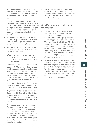**68**

An example of overland flow routes is to allow water to flow along roads to a lower point in the site. This is no different to current requirements for adoptable sewers.

- Low flow channels may be required to carry every day flows (i.e. a specific route for flows up to 1 in 1 year) to help maintain the high quality appearance of SUDS (for example to avoid the bottom of a basin becoming a large area of waterlogged ground).
- SUDS features must be as shallow as possible with gentle side slopes and shallow water depths. Large, deep ponds with steep sides are not acceptable.
- Vertical head walls, poorly designed rip rap and other visually obtrusive features will not be acceptable.
- Water level rises within any temporary storage areas should be kept to a minimum. Further information is provided for each feature.
- Outlet flow controls are a very important aspect of SUDS and should be provided on all features that are intended to store water to ensure the storage operates when required and flows to watercourses do not exceed agreed rates. The precise location should be considered on site specific basis (See Section 11 for more details).
- A safe exceedance or overflow route must be provided that directs flows away from buildings or other sensitive infrastructure.
- Any features that are to be adopted by Cambridge City Council must be designed in accordance with The SUDS Manual (CIRIA C697). Where there are conflicting requirements this guide shall take precedence.
- A flat area should be provided around features and inside when considering basins, to provide easy access for maintenance. This should be at least 2m wide. There should be access to the feature from a road for small tracked excavators. This requires suitable space and gradients but often does not require a specific hard surface.

• One of the most important aspects to ensure SUDS work properly is the design and maintenance of the outlet flow control. This will be site specific but Section 11 provides further information.

## **Specific treatment requirements for adoption**

- The SUDS Manual requires sufficient treatment stages to be provided within a SUDS to remove pollution from runoff. The Environment Agency guidance in removing pollution from surface water (Pollution Prevention Guideline, PPG 3) recognises the importance of using SUDS to treat pollution in surface water runoff. SUDS will also help to meet some of the targets set by the European Water Framework Directive (which became UK law in December 2003) for improving the quality of rivers and streams.
- SUDS to be adopted by Cambridge must be part of a system that provides sufficient treatment stages to remove pollution from the runoff (the rain picks the pollution up from the road or car park surface). It is especially important that silt and pollution is removed before it reaches features such as ponds or wetlands that are to be adopted by the City Council.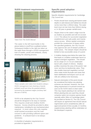#### **SUDS treatment requirements**

| Runoff<br>pollution<br>content | Catchment<br>characteristics                                                                                        | No of<br>treatment<br>stages or<br>features |
|--------------------------------|---------------------------------------------------------------------------------------------------------------------|---------------------------------------------|
| Low                            | Roofs, school<br>playgrounds                                                                                        |                                             |
| Medium                         | Residential roads,<br>parking areas,<br>commercial zones                                                            | $\overline{2}$                              |
| High                           | Refuse collection and<br>industrial areas,<br>loading bays, lorry<br>parks, distributor roads<br>and other highways | 3                                           |

*Taken from The SUDS Manual*

The water in the left hand bottle in the picture below is runoff from a polluted surface. Subsequent bottles to the right are taken as the water flows through a SUDS management train of swales, ponds and wetlands, clearly showing the cleaning process.



*These samples were taken from locations along a SUDS management train draining a heavily polluted runoff and show the gradual pollution removal by the treatment stages (courtesy Neil McLean of SEPA)*

SUDS to be adopted by the City Council should be designed to be easy to maintain. This requires small and shallow SUDS features. Access should be provided to allow maintenance, including for any mechanical plant required. In most cases this only requires small tracked excavators and the main concern is with providing sufficient space and gradients. A surfaced track is not always necessary.

A checklist of adoption requirements is provided at Appendix D.

#### **Specific pond adoption requirements**

Specific Adoption requirements for Cambridge City Council are:

- Ponds should have varying permanent water depths to add interest and habitat but should not be more than 1,200mm deep. The water level must not rise more than 500mm during a 1 in 30 year or greater rainfall event.
- Slopes down to the water's edge must be as shallow as possible and will not exceed 1 in 3. This allows for successful vegetation establishment and safe public and maintenance access. Where spatial constraints prohibit the construction of slopes within the specified gradients, the City Council may approve the use of steeper profiles in some areas. The steeper slopes should be limited to less accessible areas of a pond.
- A shallow sloping area below the water line that leads to a shallow underwater bench to support emergent vegetation. This should be at a slope of 1 in 3 to an underwater bench with a depth of 150mm. Shallow profiles maximise the area of the pond's 'wet zone' and thus its biodiversity value. They also enable improved vegetation survival when water levels fluctuate and mean that bank stabilisation techniques such as coir rolls are unlikely to be necessary.
- Natural colonisation of the pond should be considered first before any planting schemes are devised. However, the overriding requirement is to prevent erosion as soon as the SUDS starts to drain water. This may require planting to be carried out. Where planting lists are used they should comprise native non-invasive species found naturally within 30km of Cambridge (plant list provided at Section 5). The City Council will require an agreement that should natural regeneration prove unsatisfactory after an approved period of time (usually 12 months), supplementary planting will be undertaken at the developer's expense.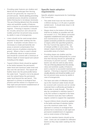- Slopes down to the bottom of the basin shall be as shallow as possible and will not exceed 1 in 3. This allows successful vegetation establishment and safe public and maintenance access. Where spatial constraints prohibit the construction of slopes within the specified gradients, the City Council may approve the use
- of steeper profiles in some areas. The steeper slopes should be limited to less accessible areas of a basin. • Providing slopes are shallow and the water is only stored infrequently for a short time then fencing should not generally be necessary to prevent access. Indeed, basins can also be used as play areas. The use of fencing detracts from the amenity value and aesthetic quality of features and is a barrier to successful maintenance
- regimes. If fencing is required it should be visually attractive and should be toddler proof but not prevent easy access by adults in case of emergencies.
- The base and sides of infiltration basins (up to the maximum water level) should be covered with rootzone soil (or similar material) that is sufficiently permeable to allow water to soak through. This may also be considered in retention basins if a dry firm surface is required in the base. The rootzone must also have sufficient organic content to support the vegetation.
- Topsoil (150mm thick) should be applied to the banks and base of retention basins up to the maximum water level. This approach is contrary to ecological best practice but is necessary to aid rapid and permanent establishment of vegetation and so resist erosion of the basin.
- Liners for retention basins should not be used. Liners are not suitable for infiltration basins as they stop water soaking into the ground.
- Providing water features are shallow and blend into the landscape then fencing should not generally be required to prevent access. Barrier planting preventing accidental access should be considered before fencing but is not always necessary. The use of fencing detracts from the amenity value and aesthetic quality of features and is a barrier to successful maintenance regimes. If fencing is required, it should be visually attractive and should be toddler proof but not prevent easy access by adults in case of emergencies.
- Liners should not be used except where required to stop water soaking into the ground. Examples include where it is necessary to create permanently wet areas or prevent contamination from known sources of pollution entering the ground. Where a liner is used it should be sufficiently robust to resist puncture and should be covered with a minimum of 300mm depth of mixed topsoil and subsoil including at the edges.
- Topsoil (150mm thick) should be applied to the banks between the permanent water level and maximum water level and also over the wet bench. This topsoil will feather down into the pond profile below the water level. Topsoil is not to be placed over the subsoil below the permanent water level beyond the wet bench. This approach is contrary to ecological best practice and the reason it is required is to help rapid and permanent establishment of vegetation to resist erosion.

#### **Specific basin adoption requirements**

Specific adoption requirements for Cambridge City Council are:

The water level must not rise more than 1.000mm during a 1 in 30 year or greater rainfall event. It should drain down in 48 hours maximum.

**70**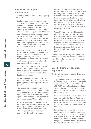#### **Specific swale adoption requirements**

The adoption requirements for Cambridge City Council are:

- For health and safety reasons, swales should be as shallow as possible and side slopes should normally be less than 1 in 3. The maximum depth of a swale should normally be less than 450mm. This allows successful vegetation establishment and safe public and maintenance access. Where spatial constraints prohibit the construction of slopes within the specified gradients, the City Council may approve the use of steeper profiles in some areas. The steeper slopes should be limited to less accessible sides of a swale.
- Generally gullies should not be used to collect water and pass it into swales. This results in swales that are deeper than required, unsightly and less safe. Over the edge flow across a small filter strip or shallow inlets is preferred to achieve the maximum depth stated above.
- Sufficient cross over points should be provided where pedestrians will want to cross the swale. These can be small causeways or bridges to suit the location and landscape character.
- Where swales lead to ponds or basins it helps keep these shallower. It will also help prevent problems meeting shallow outfall points.
- The water level in a swale must not rise more than 150mm to 300mm during a 1 in 30 year or greater rainfall event (maximum depends on location with the lower depth appropriate in streets). Flows across filter strips rarely exceed 50mm depth.
- Providing swales are shallow and blend into the landscape then fencing should not generally be required to prevent access. However in street situations some form of fencing or bollards may be required to prevent vehicles parking in swales.
- Liners should not be used below swales except where required to stop water soaking into the ground. Examples include where it is necessary to prevent contamination from known sources of pollution entering the ground. Where a liner is used it should be sufficiently robust to resist puncture and should be covered with a minimum of 300mm depth of mixed topsoil and subsoil including at the edges.
- Topsoil (150mm thick) should be applied to swales and filter strips wherever water will be present, usually up to the maximum water level. This approach is contrary to ecological best practice and the reason it is required is to help rapid and permanent establishment of vegetation to resist erosion. For swales with a drain below them. the base will require covering with rootzone material.

In urban areas swales may have harder edge features to suit the surrounding landscape, but can still be shallow and have a flat bottom with vegetation in it.

#### **Specific filter drain adoption requirements**

Specific adoption requirements for Cambridge City Council are:

- Any filter drains that are to be adopted by Cambridge City Council must be designed in accordance with The SUDS Manual (CIRIA 697) and the Specification for Highway Works (Highways Agency). Where there are conflicting requirements this guide shall take precedence.
- Gullies should not be used to collect water and pass it into filter drains. This is likely to clog the filter drain. Over the edge drainage across a small filter strip or via some other source control feature that removes silt is necessary.
- Liners should not be used around filter drains except where required to stop water soaking into the ground. Examples include where it is necessary to prevent contamination from known sources of pollution entering the ground. Where a liner is used it should be sufficiently robust to resist puncture.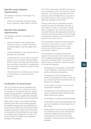## **Specific canal adoption requirements**

The adoption criteria for Cambridge City Council are:

• Canals, rills and other channels should have a maximum water depth of 150mm.

# **Specific Inlet adoption requirements**

The adoption criteria for Cambridge City Council are:

- Inlets and outlets in the sloping sides of ponds, basins or swales should be chamfered pipes to suit the angle of the slope.
- Vertical headwalls in open spaces will not generally be acceptable.
- Control features such as orifices and weirs should be on the surface where possible. Where control structures are below ground they should be accessible for maintenance from the surface without the need for entry into chambers.
- There should be an overflow route around a control feature in case it becomes blocked.

## **Verifi cation of construction**

The City Council will require verification that any SUDS they are to adopt have been constructed in accordance with the agreed design and specification. Verification will take the form of developer supplied documentation and City Council inspection during construction.

Work shall not start on site until the planning authority case officer has formally approved the adoption design plans and specification in writing. Once in place, the City Council should be given at least two weeks notice of the start of construction of the development and should be provided with a programme of works. The Council should be notified of any significant changes to the program.

The SUDS construction should be carried out to the satisfaction of the City Council's SUDS Engineer, who shall be provided with free access at all reasonable times to any part of the SUDS works or other works that may affect the operation of the SUDS.

During construction the developer may be required to prove the thickness and type of any material or layer, if it has been covered prior to inspection. Any work that cannot be inspected because the appropriate notice has not been received will result in the work being re-opened for inspection and reinstated at no expense to the City Council.

A pre-excavation inspection will be required to ensure construction run-off is being adequately dealt with and will not clog constructed SUDS features or pollute downstream features.

The developer's consultant should also inspect the construction and materials used. The consultant should prepare a site inspection plan and verification report. This will be site specific but as a minimum it will be expected to include the following:

- Photographs of excavations, confirmation of soil conditions, confirmation of levels. profiles and general earthworks.
- Photographs and full manufacturer's details (if appropriate) of inlets, outlets and any control structures associated with any feature to be adopted.
- Confirmation of topsoil sources with appropriate certificates.
- Full planting list and confirmation of plant sources, planting method statement and initial maintenance regime.
- Confirmation of subsoil and topsoil depths.
- Confirmation of gravel fill specification and sources, installation method statement of filter drains.
- Conformation of source and test certificates for membrane liners if used. Membranes shall have welded joints and shall be inspected and the joints tested after installation. Records of the tests shall be provided.